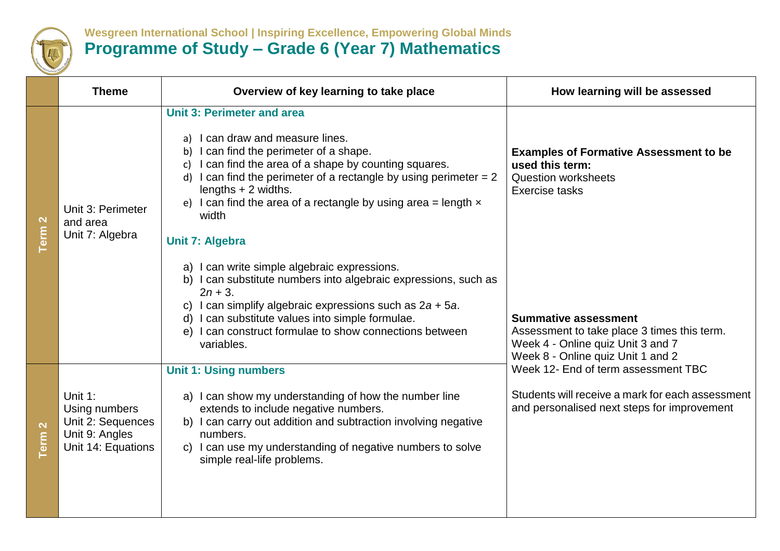

## **Wesgreen International School | Inspiring Excellence, Empowering Global Minds Programme of Study – Grade 6 (Year 7) Mathematics**

|                                  | <b>Theme</b>                                                                          | Overview of key learning to take place                                                                                                                                                                                                                                                                                                                                           | How learning will be assessed                                                                                                                                                                                                                                                                  |
|----------------------------------|---------------------------------------------------------------------------------------|----------------------------------------------------------------------------------------------------------------------------------------------------------------------------------------------------------------------------------------------------------------------------------------------------------------------------------------------------------------------------------|------------------------------------------------------------------------------------------------------------------------------------------------------------------------------------------------------------------------------------------------------------------------------------------------|
| $\mathbf{\Omega}$<br>Term        | Unit 3: Perimeter<br>and area<br>Unit 7: Algebra                                      | <b>Unit 3: Perimeter and area</b><br>a) I can draw and measure lines.<br>b) I can find the perimeter of a shape.<br>c) I can find the area of a shape by counting squares.<br>d) I can find the perimeter of a rectangle by using perimeter $= 2$<br>lengths $+2$ widths.<br>e) I can find the area of a rectangle by using area = length $x$<br>width<br><b>Unit 7: Algebra</b> | <b>Examples of Formative Assessment to be</b><br>used this term:<br><b>Question worksheets</b><br>Exercise tasks                                                                                                                                                                               |
|                                  |                                                                                       | a) I can write simple algebraic expressions.<br>I can substitute numbers into algebraic expressions, such as<br>$2n + 3$ .<br>c) I can simplify algebraic expressions such as $2a + 5a$ .<br>d) I can substitute values into simple formulae.<br>I can construct formulae to show connections between<br>e)<br>variables.                                                        | <b>Summative assessment</b><br>Assessment to take place 3 times this term.<br>Week 4 - Online quiz Unit 3 and 7<br>Week 8 - Online quiz Unit 1 and 2<br>Week 12- End of term assessment TBC<br>Students will receive a mark for each assessment<br>and personalised next steps for improvement |
| $\mathbf{\Omega}$<br><b>Term</b> | Unit 1:<br>Using numbers<br>Unit 2: Sequences<br>Unit 9: Angles<br>Unit 14: Equations | <b>Unit 1: Using numbers</b><br>a) I can show my understanding of how the number line<br>extends to include negative numbers.<br>b) I can carry out addition and subtraction involving negative<br>numbers.<br>c) I can use my understanding of negative numbers to solve<br>simple real-life problems.                                                                          |                                                                                                                                                                                                                                                                                                |